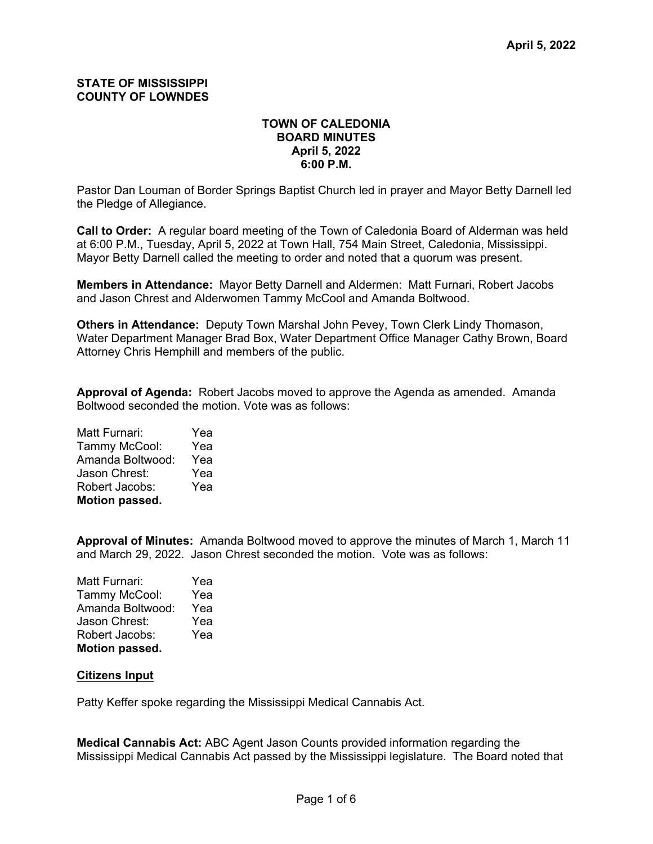# **STATE OF MISSISSIPPI COUNTY OF LOWNDES**

# **TOWN OF CALEDONIA BOARD MINUTES April 5, 2022 6:00 P.M.**

Pastor Dan Louman of Border Springs Baptist Church led in prayer and Mayor Betty Darnell led the Pledge of Allegiance.

**Call to Order:** A regular board meeting of the Town of Caledonia Board of Alderman was held at 6:00 P.M., Tuesday, April 5, 2022 at Town Hall, 754 Main Street, Caledonia, Mississippi. Mayor Betty Darnell called the meeting to order and noted that a quorum was present.

**Members in Attendance:** Mayor Betty Darnell and Aldermen: Matt Furnari, Robert Jacobs and Jason Chrest and Alderwomen Tammy McCool and Amanda Boltwood.

**Others in Attendance:** Deputy Town Marshal John Pevey, Town Clerk Lindy Thomason, Water Department Manager Brad Box, Water Department Office Manager Cathy Brown, Board Attorney Chris Hemphill and members of the public.

**Approval of Agenda:** Robert Jacobs moved to approve the Agenda as amended. Amanda Boltwood seconded the motion. Vote was as follows:

Matt Furnari: Yea Tammy McCool: Yea Amanda Boltwood: Yea Jason Chrest: Yea Robert Jacobs: Yea **Motion passed.**

**Approval of Minutes:** Amanda Boltwood moved to approve the minutes of March 1, March 11 and March 29, 2022. Jason Chrest seconded the motion. Vote was as follows:

Matt Furnari: Yea Tammy McCool: Yea Amanda Boltwood: Yea Jason Chrest: Yea Robert Jacobs: Yea **Motion passed.**

#### **Citizens Input**

Patty Keffer spoke regarding the Mississippi Medical Cannabis Act.

**Medical Cannabis Act:** ABC Agent Jason Counts provided information regarding the Mississippi Medical Cannabis Act passed by the Mississippi legislature. The Board noted that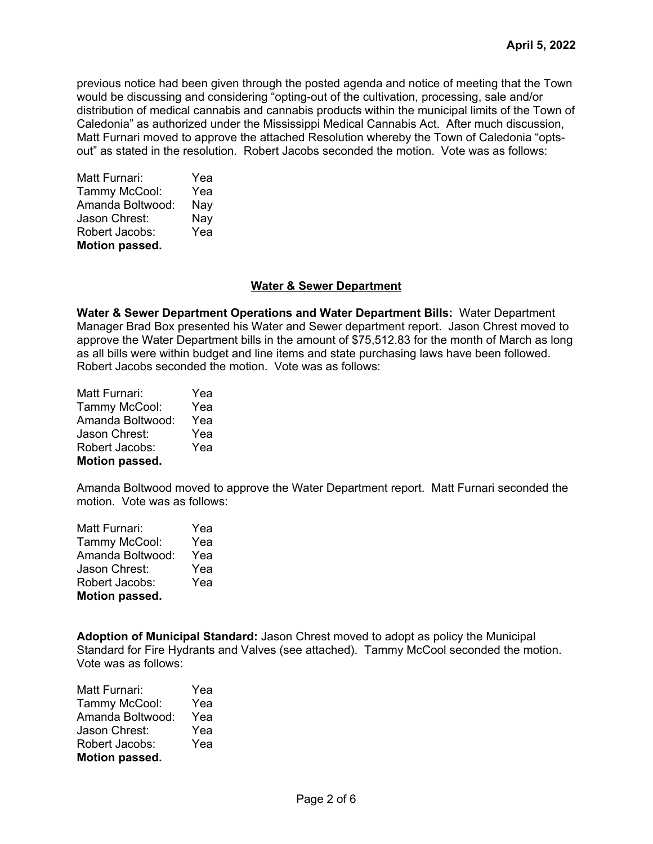previous notice had been given through the posted agenda and notice of meeting that the Town would be discussing and considering "opting-out of the cultivation, processing, sale and/or distribution of medical cannabis and cannabis products within the municipal limits of the Town of Caledonia" as authorized under the Mississippi Medical Cannabis Act. After much discussion, Matt Furnari moved to approve the attached Resolution whereby the Town of Caledonia "optsout" as stated in the resolution. Robert Jacobs seconded the motion. Vote was as follows:

| Matt Furnari:    | Yea |  |  |
|------------------|-----|--|--|
| Tammy McCool:    | Yea |  |  |
| Amanda Boltwood: | Nay |  |  |
| Jason Chrest:    | Nay |  |  |
| Robert Jacobs:   | Yea |  |  |
| Motion passed.   |     |  |  |

# **Water & Sewer Department**

**Water & Sewer Department Operations and Water Department Bills:** Water Department Manager Brad Box presented his Water and Sewer department report. Jason Chrest moved to approve the Water Department bills in the amount of \$75,512.83 for the month of March as long as all bills were within budget and line items and state purchasing laws have been followed. Robert Jacobs seconded the motion. Vote was as follows:

| Matt Furnari:    | Yea |  |  |
|------------------|-----|--|--|
| Tammy McCool:    | Yea |  |  |
| Amanda Boltwood: | Yea |  |  |
| Jason Chrest:    | Yea |  |  |
| Robert Jacobs:   | Yea |  |  |
| Motion passed.   |     |  |  |

Amanda Boltwood moved to approve the Water Department report. Matt Furnari seconded the motion. Vote was as follows:

| Matt Furnari:    | Yea |  |  |
|------------------|-----|--|--|
| Tammy McCool:    | Yea |  |  |
| Amanda Boltwood: | Yea |  |  |
| Jason Chrest:    | Yea |  |  |
| Robert Jacobs:   | Yea |  |  |
| Motion passed.   |     |  |  |

**Adoption of Municipal Standard:** Jason Chrest moved to adopt as policy the Municipal Standard for Fire Hydrants and Valves (see attached). Tammy McCool seconded the motion. Vote was as follows:

| Matt Furnari:    | Yea |  |  |
|------------------|-----|--|--|
| Tammy McCool:    | Yea |  |  |
| Amanda Boltwood: | Yea |  |  |
| Jason Chrest:    | Yea |  |  |
| Robert Jacobs:   | Yea |  |  |
| Motion passed.   |     |  |  |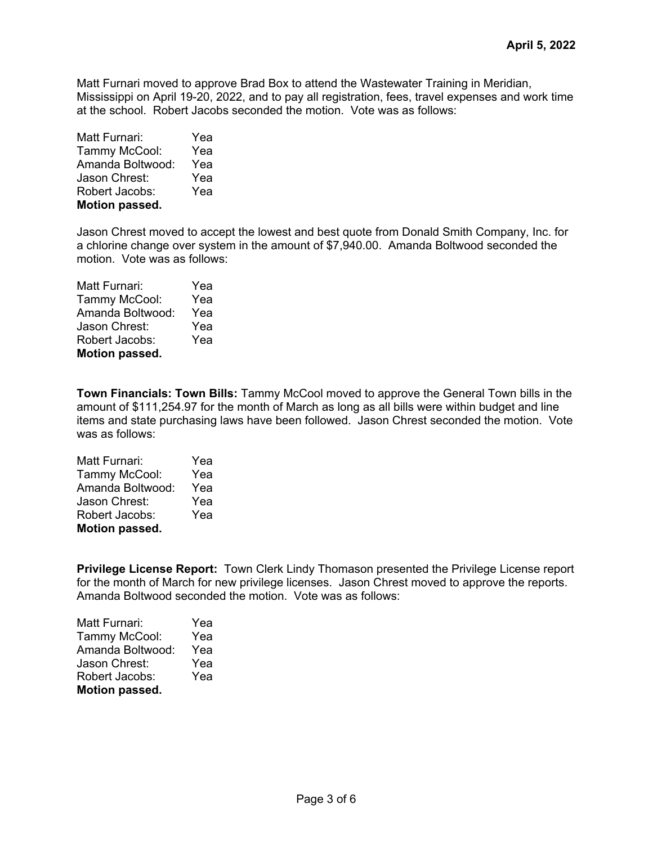Matt Furnari moved to approve Brad Box to attend the Wastewater Training in Meridian, Mississippi on April 19-20, 2022, and to pay all registration, fees, travel expenses and work time at the school. Robert Jacobs seconded the motion. Vote was as follows:

| Matt Furnari:         | Yea |  |  |
|-----------------------|-----|--|--|
| Tammy McCool:         | Yea |  |  |
| Amanda Boltwood:      | Yea |  |  |
| Jason Chrest:         | Yea |  |  |
| Robert Jacobs:        | Yea |  |  |
| <b>Motion passed.</b> |     |  |  |

Jason Chrest moved to accept the lowest and best quote from Donald Smith Company, Inc. for a chlorine change over system in the amount of \$7,940.00. Amanda Boltwood seconded the motion. Vote was as follows:

| Matt Furnari:    | Yea |  |  |
|------------------|-----|--|--|
| Tammy McCool:    | Yea |  |  |
| Amanda Boltwood: | Yea |  |  |
| Jason Chrest:    | Yea |  |  |
| Robert Jacobs:   | Yea |  |  |
| Motion passed.   |     |  |  |

**Town Financials: Town Bills:** Tammy McCool moved to approve the General Town bills in the amount of \$111,254.97 for the month of March as long as all bills were within budget and line items and state purchasing laws have been followed. Jason Chrest seconded the motion. Vote was as follows:

| Matt Furnari:    | Yea |  |  |
|------------------|-----|--|--|
| Tammy McCool:    | Yea |  |  |
| Amanda Boltwood: | Yea |  |  |
| Jason Chrest:    | Yea |  |  |
| Robert Jacobs:   | Yea |  |  |
| Motion passed.   |     |  |  |

**Privilege License Report:** Town Clerk Lindy Thomason presented the Privilege License report for the month of March for new privilege licenses. Jason Chrest moved to approve the reports. Amanda Boltwood seconded the motion. Vote was as follows:

| Yea |  |  |
|-----|--|--|
| Yea |  |  |
| Yea |  |  |
| Yea |  |  |
| Yea |  |  |
|     |  |  |
|     |  |  |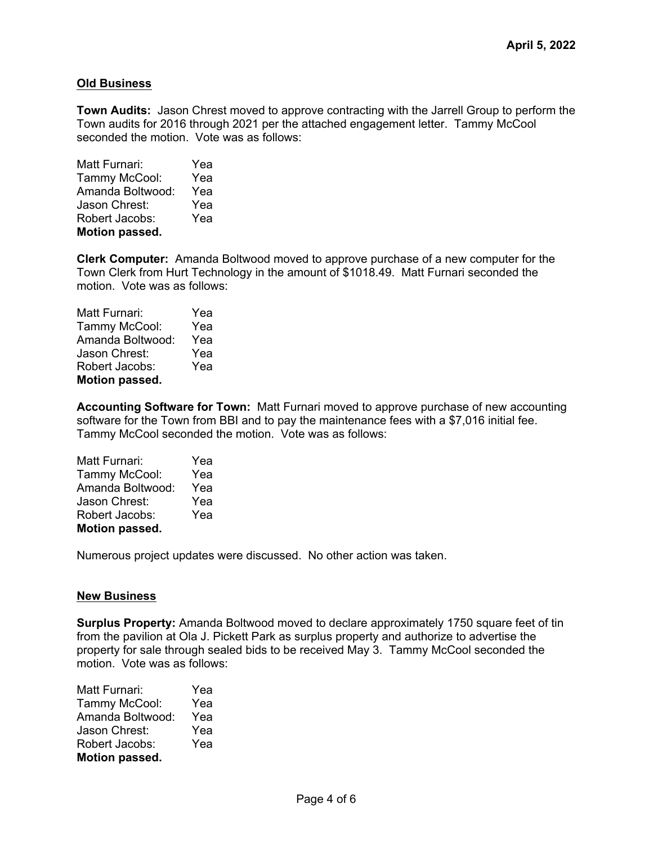# **Old Business**

**Town Audits:** Jason Chrest moved to approve contracting with the Jarrell Group to perform the Town audits for 2016 through 2021 per the attached engagement letter. Tammy McCool seconded the motion. Vote was as follows:

| Matt Furnari:    | Yea |  |  |
|------------------|-----|--|--|
| Tammy McCool:    | Yea |  |  |
| Amanda Boltwood: | Yea |  |  |
| Jason Chrest:    | Yea |  |  |
| Robert Jacobs:   | Yea |  |  |
| Motion passed.   |     |  |  |

**Clerk Computer:** Amanda Boltwood moved to approve purchase of a new computer for the Town Clerk from Hurt Technology in the amount of \$1018.49. Matt Furnari seconded the motion. Vote was as follows:

| Matt Furnari:    | Yea |  |  |
|------------------|-----|--|--|
| Tammy McCool:    | Yea |  |  |
| Amanda Boltwood: | Yea |  |  |
| Jason Chrest:    | Yea |  |  |
| Robert Jacobs:   | Yea |  |  |
| Motion passed.   |     |  |  |

**Accounting Software for Town:** Matt Furnari moved to approve purchase of new accounting software for the Town from BBI and to pay the maintenance fees with a \$7,016 initial fee. Tammy McCool seconded the motion. Vote was as follows:

| Yea |  |  |
|-----|--|--|
| Yea |  |  |
| Yea |  |  |
| Yea |  |  |
| Yea |  |  |
|     |  |  |
|     |  |  |

Numerous project updates were discussed. No other action was taken.

#### **New Business**

**Surplus Property:** Amanda Boltwood moved to declare approximately 1750 square feet of tin from the pavilion at Ola J. Pickett Park as surplus property and authorize to advertise the property for sale through sealed bids to be received May 3. Tammy McCool seconded the motion. Vote was as follows:

| Matt Furnari:    | Yea |  |  |
|------------------|-----|--|--|
| Tammy McCool:    | Yea |  |  |
| Amanda Boltwood: | Yea |  |  |
| Jason Chrest:    | Yea |  |  |
| Robert Jacobs:   | Yea |  |  |
| Motion passed.   |     |  |  |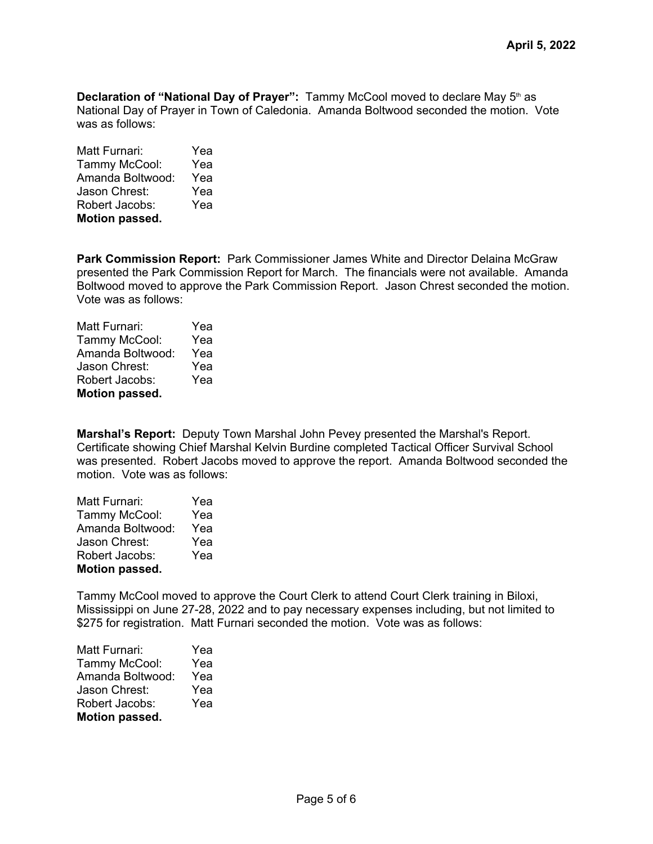**Declaration of "National Day of Prayer":** Tammy McCool moved to declare May 5<sup>th</sup> as National Day of Prayer in Town of Caledonia. Amanda Boltwood seconded the motion. Vote was as follows:

Matt Furnari: Yea Tammy McCool: Yea Amanda Boltwood: Yea Jason Chrest: Yea Robert Jacobs: Yea **Motion passed.**

**Park Commission Report:** Park Commissioner James White and Director Delaina McGraw presented the Park Commission Report for March. The financials were not available. Amanda Boltwood moved to approve the Park Commission Report. Jason Chrest seconded the motion. Vote was as follows:

| Matt Furnari:    | Yea |  |  |
|------------------|-----|--|--|
| Tammy McCool:    | Yea |  |  |
| Amanda Boltwood: | Yea |  |  |
| Jason Chrest:    | Yea |  |  |
| Robert Jacobs:   | Yea |  |  |
| Motion passed.   |     |  |  |

**Marshal's Report:** Deputy Town Marshal John Pevey presented the Marshal's Report. Certificate showing Chief Marshal Kelvin Burdine completed Tactical Officer Survival School was presented. Robert Jacobs moved to approve the report. Amanda Boltwood seconded the motion. Vote was as follows:

| Matt Furnari:    | Yea |  |  |
|------------------|-----|--|--|
| Tammy McCool:    | Yea |  |  |
| Amanda Boltwood: | Yea |  |  |
| Jason Chrest:    | Yea |  |  |
| Robert Jacobs:   | Yea |  |  |
| Motion passed.   |     |  |  |

Tammy McCool moved to approve the Court Clerk to attend Court Clerk training in Biloxi, Mississippi on June 27-28, 2022 and to pay necessary expenses including, but not limited to \$275 for registration. Matt Furnari seconded the motion. Vote was as follows:

| Matt Furnari:         | Yea |  |  |
|-----------------------|-----|--|--|
| Tammy McCool:         | Yea |  |  |
| Amanda Boltwood:      | Yea |  |  |
| Jason Chrest:         | Yea |  |  |
| Robert Jacobs:        | Yea |  |  |
| <b>Motion passed.</b> |     |  |  |